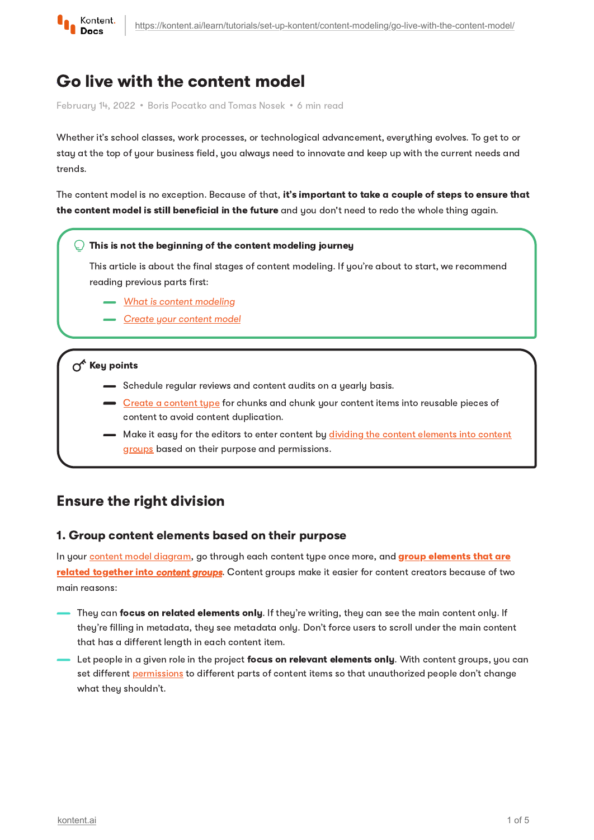

# Go live with the content model

February 14, 2022 · Boris Pocatko and Tomas Nosek · 6 min read

Whether it's school classes, work processes, or technological advancement, everything evolves. To get to or stay at the top of your business field, you always need to innovate and keep up with the current needs and trends.

The content model is no exception. Because of that, it's important to take a couple of steps to ensure that the content model is still beneficial in the future and you don't need to redo the whole thing again.

#### This is not the beginning of the content modeling journey

This article is about the final stages of content modeling. If you're about to start, we recommend reading previous parts first:

- [What is content modeling](https://kontent.ai/learn/tutorials/set-up-kontent/content-modeling/what-is-content-modeling/)
- [Create your content model](https://kontent.ai/learn/tutorials/set-up-kontent/content-modeling/create-your-content-model/)

#### $\sigma^*$  Key points

- Schedule regular reviews and content audits on a yearly basis.
- Create a [content](https://kontent.ai/learn/tutorials/manage-kontent/content-modeling/create-and-delete-content-types/) type for chunks and chunk your content items into reusable pieces of content to avoid content duplication.
- Make it easy for the editors to enter content by dividing the content elements into content groups based on their purpose and [permissions.](https://kontent.ai/learn/tutorials/manage-kontent/content-modeling/organize-elements-with-content-groups/)

## Ensure the right division

#### 1. Group content elements based on their purpose

In your content model [diagram](https://kontent.ai/learn/tutorials/set-up-kontent/content-modeling/create-your-content-model/getting-started/#a-add-structure-to-the-content-types), go through each content type once more, and **group elements that are** related together into [content groups](https://kontent.ai/learn/tutorials/manage-kontent/content-modeling/organize-elements-with-content-groups/). Content groups make it easier for content creators because of two main reasons:

- They can focus on related elements only. If they're writing, they can see the main content only. If they're filling in metadata, they see metadata only. Don't force users to scroll under the main content that has a different length in each content item.
- Let people in a given role in the project focus on relevant elements only. With content groups, you can set different [permissions](https://kontent.ai/learn/tutorials/manage-kontent/roles-and-workflow/permission-reference/) to different parts of content items so that unauthorized people don't change what they shouldn't.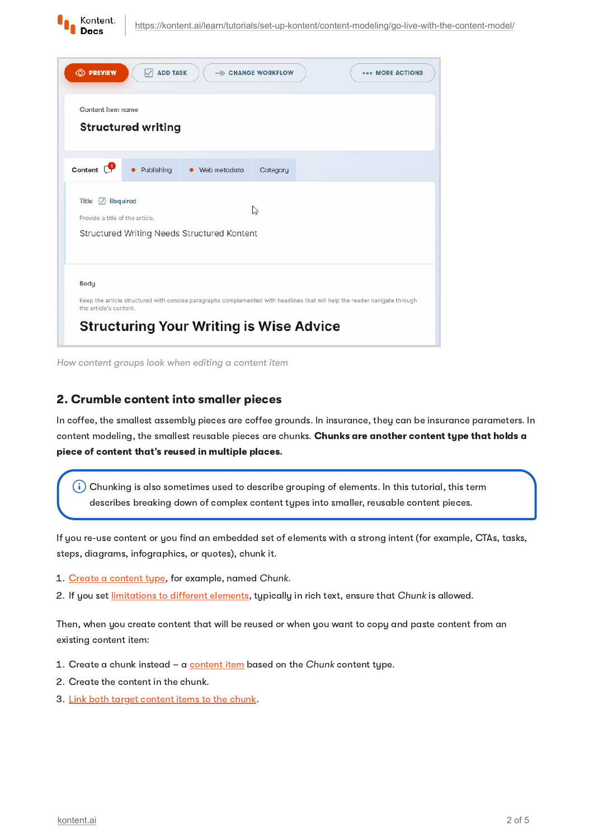

| <b>O PREVIEW</b><br><b>ADD TASK</b><br>$\triangledown$<br>$\rightarrow$ CHANGE WORKFLOW                                                                                                                        | <b>BRA MORE ACTIONS</b> |
|----------------------------------------------------------------------------------------------------------------------------------------------------------------------------------------------------------------|-------------------------|
| Content item name<br><b>Structured writing</b>                                                                                                                                                                 |                         |
| Content $\mathbb{C}$<br>Publishing<br>• Web metadata<br>Category                                                                                                                                               |                         |
| $\sqrt{ }$ Required<br>Title<br>ド<br>Provide a title of the article.<br>Structured Writing Needs Structured Kontent                                                                                            |                         |
| Body<br>Keep the article structured with concise paragraphs complemented with headlines that will help the reader navigate through<br>the article's content.<br><b>Structuring Your Writing is Wise Advice</b> |                         |

How content groups look when editing a content item

### 2. Crumble content into smaller pieces

In coffee, the smallest assembly pieces are coffee grounds. In insurance, they can be insurance parameters. In content modeling, the smallest reusable pieces are chunks. Chunks are another content type that holds a piece of content that's reused in multiple places.

 $(\boldsymbol{\cdot})$  Chunking is also sometimes used to describe grouping of elements. In this tutorial, this term describes breaking down of complex content types into smaller, reusable content pieces.

If you re-use content or you find an embedded set of elements with a strong intent (for example, CTAs, tasks, steps, diagrams, infographics, or quotes), chunk it.

- 1. Create a [content](https://kontent.ai/learn/tutorials/manage-kontent/content-modeling/create-and-delete-content-types/) type, for example, named Chunk.
- 2. If you set *[limitations](https://kontent.ai/learn/tutorials/manage-kontent/content-modeling/configure-limitations-in-content-types/) to different elements*, typically in rich text, ensure that Chunk is allowed.

Then, when you create content that will be reused or when you want to copy and paste content from an existing content item:

- 1. Create a chunk instead a [content](https://kontent.ai/learn/tutorials/write-and-collaborate/create-content/introducing-content-items/) item based on the Chunk content type.
- 2. Create the content in the chunk.
- 3. Link both target [content](https://kontent.ai/learn/tutorials/write-and-collaborate/create-content/compose-content-in-rich-text/#a-adding-content-items) items to the chunk.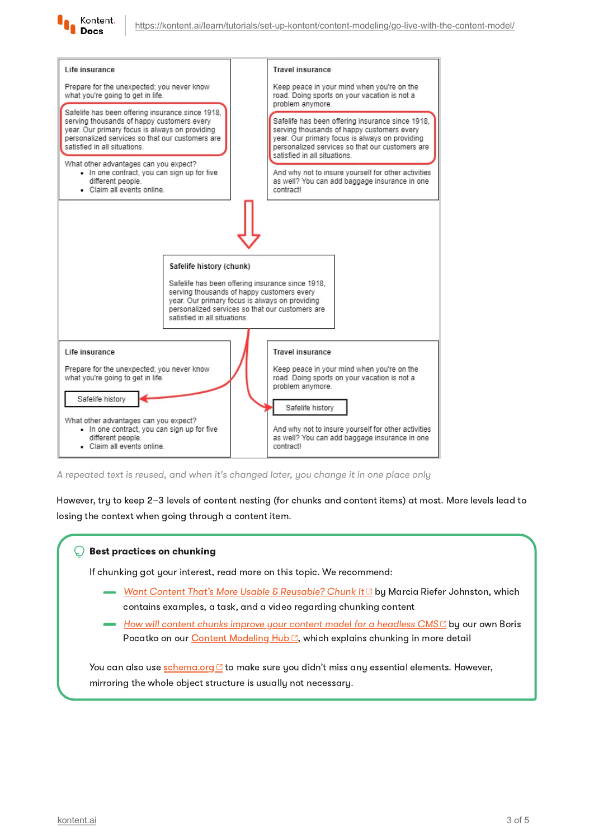



A repeated text is reused, and when it's changed later, you change it in one place only

However, try to keep 2–3 levels of content nesting (for chunks and content items) at most. More levels lead to losing the context when going through a content item.

#### Best practices on chunking

If chunking got your interest, read more on this topic. We recommend:

- [Want Content That's More Usable & Reusable? Chunk It](https://contentmarketinginstitute.com/2017/08/content-usable-reusable/)<sup>7</sup> by Marcia Riefer Johnston, which contains examples, a task, and a video regarding chunking content
- How will content chunks improve your content model for a headless  $CMS<sup>C</sup>$  by our own Boris Pocatko on our Content [Modeling](https://kontent.ai/content-modeling-hub) Hub<sup>c</sup>, which explains chunking in more detail

You can also use **[schema.org](http://schema.org/) C** to make sure you didn't miss any essential elements. However, mirroring the whole object structure is usually not necessary.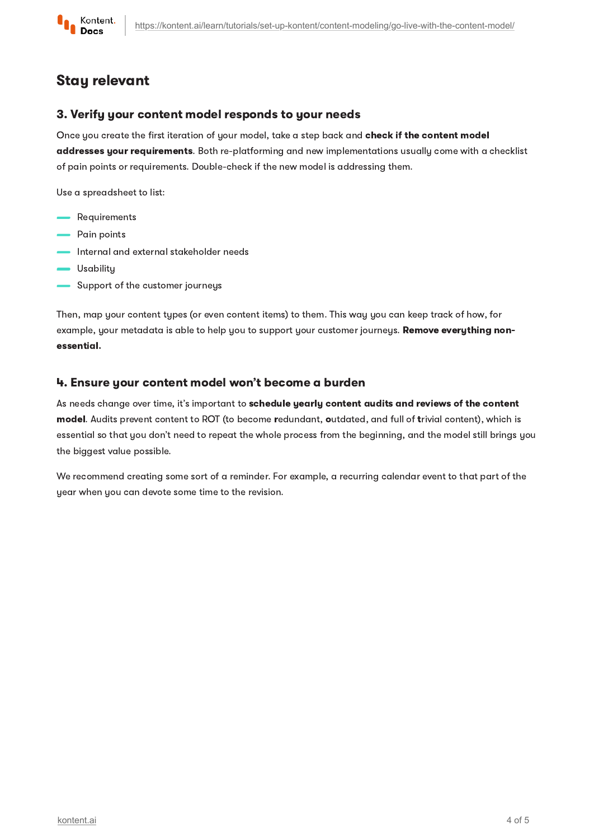

## Stay relevant

#### 3. Verify your content model responds to your needs

Once you create the first iteration of your model, take a step back and **check if the content model** addresses your requirements. Both re-platforming and new implementations usually come with a checklist of pain points or requirements. Double-check if the new model is addressing them.

Use a spreadsheet to list:

- **-** Requirements
- Pain points
- Internal and external stakeholder needs
- **Usability**
- Support of the customer journeys

Then, map your content types (or even content items) to them. This way you can keep track of how, for example, your metadata is able to help you to support your customer journeys. Remove everything nonessential.

#### 4. Ensure your content model won't become a burden

As needs change over time, it's important to schedule yearly content audits and reviews of the content model. Audits prevent content to ROT (to become redundant, outdated, and full of trivial content), which is essential so that you don't need to repeat the whole process from the beginning, and the model still brings you the biggest value possible.

We recommend creating some sort of a reminder. For example, a recurring calendar event to that part of the year when you can devote some time to the revision.